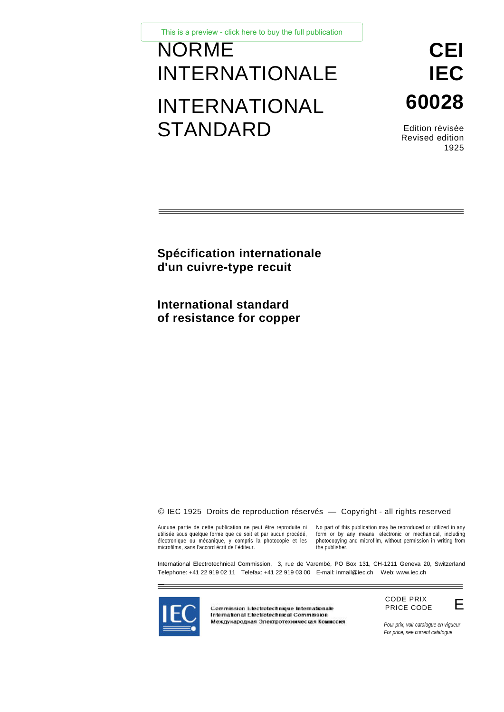[This is a preview - click here to buy the full publication](https://webstore.iec.ch/publication/98&preview=1)

# NORME INTERNATIONALE INTERNATIONAL **STANDARD**

**CEI IEC 60028**

Edition révisée Revised edition 1925

**Spécification internationale d'un cuivre-type recuit**

**International standard of resistance for copper**

 $\odot$  IEC 1925 Droits de reproduction réservés  $-$  Copyright - all rights reserved

Aucune partie de cette publication ne peut être reproduite ni utilisée sous quelque forme que ce soit et par aucun procédé, électronique ou mécanique, y compris la photocopie et les microfilms, sans l'accord écrit de l'éditeur.

No part of this publication may be reproduced or utilized in any form or by any means, electronic or mechanical, including photocopying and microfilm, without permission in writing from the publisher.

International Electrotechnical Commission, 3, rue de Varembé, PO Box 131, CH-1211 Geneva 20, Switzerland Telephone: +41 22 919 02 11 Telefax: +41 22 919 03 00 E-mail: inmail@iec.ch Web: www.iec.ch



Commission Electrotechnique Internationale International Electrotechnical Commission Международная Электротехническая Комиссия



*Pour prix, voir catalogue en vigueur For price, see current catalogue*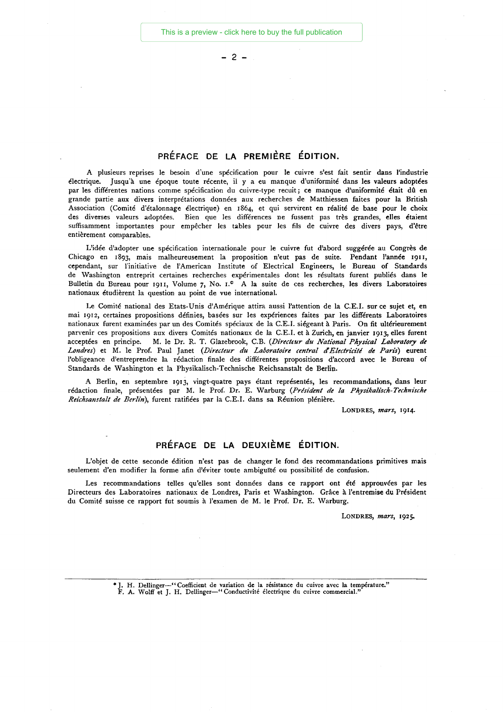[This is a preview - click here to buy the full publication](https://webstore.iec.ch/publication/98&preview=1)

 $- 2 -$ 

## PRÉFACE DE LA PREMIERE ÉDITION.

A plusieurs reprises le besoin d'une spécification pour le cuivre s'est fait sentir dans l'industrie électrique. Jusqu'à une époque toute récente, il y a eu manque d'uniformité dans les valeurs adoptées par les différentes nations comme spécification du cuivre-type recuit; ce manque d'uniformité était dû en grande partie aux divers interprétations données aux recherches de Matthiessen faites pour la British Association (Comité d'étalonnage électrique) en 1864, et qui servirent en réalité de base pour le choix des diverses valeurs adoptées. Bien que les différences ne fussent pas très grandes, elles étaient suffisamment importantes pour empêcher les tables pour les fils de cuivre des divers pays, d'être entièrement comparables.

L'idée d'adopter une spécification internationale pour le cuivre fut d'abord suggérée au Congrès de Chicago en 1893, mais malheureusement la proposition n'eut pas de suite. Pendant l'année 1911, cependant, sur l'initiative de l'American Institute of Electrical Engineers, le Bureau of Standards de Washington entreprit certaines recherches expérimentales dont les résultats furent publiés dans le Bulletin du Bureau pour 1911, Volume 7, No. 1.<sup>6</sup> A la suite de ces recherches, les divers Laboratoires nationaux étudièrent la question au point de vue international.

Le Comité national des Etats-Unis d'Amérique attira aussi l'attention de la C.E.I. sur ce sujet et, en mai 1912, certaines propositions définies, basées sur les expériences faites par les différents Laboratoires nationaux furent examinées par un des Comités spéciaux de la C.E.I. siégeant à Paris. On fit ultérieurement parvenir ces propositions aux divers Comités nationaux de la C.E.I. et à Zurich, en janvier 1913, elles furent acceptées en principe. M. le Dr. R. T. Glazebrook, C.B. *(Directeur du National Physical Laboratory de Londres)* et M. le Prof. Paul Janet *(Directeur du Laboratoire central d'Electricité de Paris)* eurent l'obligeance d'entreprendre la rédaction finale des différentes propositions d'accord avec le Bureau of Standards de Washington et la Physikalisch-Technische Reichsanstalt de Berlin.

A Berlin, en septembre 1913, vingt-quatre pays étant représentés, les recommandations, dans leur rédaction finale, présentées par M. le Prof. Dr. E. Warburg *(Président de la Physikalisch-Technische Reichsanstalt de Berlin),* furent ratifiées par la C.E.I. dans sa Réunion plénière.

LONDRES, *mars, 1914.*

## PRÉFACE DE LA DEUXIÈME ÉDITION.

L'objet de cette seconde édition n'est pas de changer le fond des recommandations primitives mais seulement d'en modifier la forme afin d'éviter toute ambiguïté ou possibilité de confusion.

Les recommandations telles qu'elles sont données dans ce rapport ont été approuvées par les Directeurs des Laboratoires nationaux de Londres, Paris et Washington. Grâce à l'entremise du Président du Comité suisse ce rapport fut soumis à l'examen de M. le Prof. Dr. E. Warburg.

LONDRES, *mars, 1925.*

\* J. H. Dellinger—" Coefficient de va riation de la résistance du cuivre avec la température." F. A. Wolff et J. H. Dellinger—" Conductivité électrique du cuivre commercial."